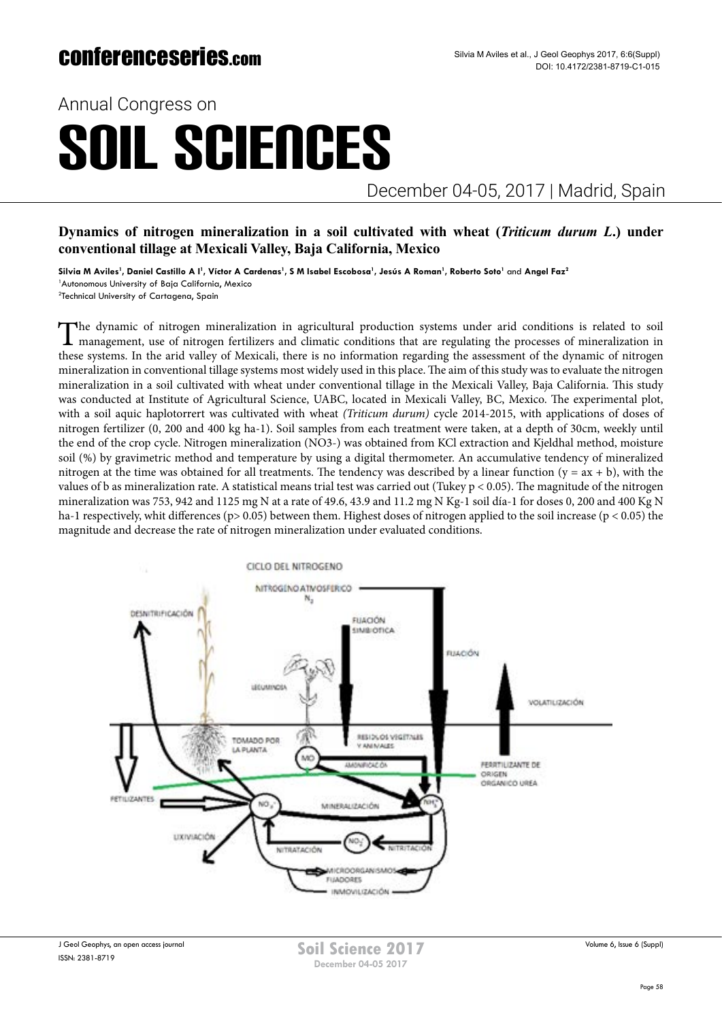## conferenceseries.com

Annual Congress on

# SOIL SCIENCES

December 04-05, 2017 | Madrid, Spain

### **Dynamics of nitrogen mineralization in a soil cultivated with wheat (***Triticum durum L***.) under conventional tillage at Mexicali Valley, Baja California, Mexico**

 $\boldsymbol{\mathsf{Silvia}}$  M Aviles<sup>1</sup>, Daniel Castillo A I<sup>1</sup>, Víctor A Cardenas<sup>1</sup>, S M Isabel Escobosa<sup>1</sup>, Jesús A Roman<sup>1</sup>, Roberto Soto<sup>1</sup> and Angel Faz<sup>2</sup> <sup>1</sup> Autonomous University of Baja California, Mexico 2 Technical University of Cartagena, Spain

The dynamic of nitrogen mineralization in agricultural production systems under arid conditions is related to soil<br>management, use of nitrogen fertilizers and climatic conditions that are regulating the processes of minera these systems. In the arid valley of Mexicali, there is no information regarding the assessment of the dynamic of nitrogen mineralization in conventional tillage systems most widely used in this place. The aim of this study was to evaluate the nitrogen mineralization in a soil cultivated with wheat under conventional tillage in the Mexicali Valley, Baja California. This study was conducted at Institute of Agricultural Science, UABC, located in Mexicali Valley, BC, Mexico. The experimental plot, with a soil aquic haplotorrert was cultivated with wheat *(Triticum durum)* cycle 2014-2015, with applications of doses of nitrogen fertilizer (0, 200 and 400 kg ha-1). Soil samples from each treatment were taken, at a depth of 30cm, weekly until the end of the crop cycle. Nitrogen mineralization (NO3-) was obtained from KCl extraction and Kjeldhal method, moisture soil (%) by gravimetric method and temperature by using a digital thermometer. An accumulative tendency of mineralized

nitrogen at the time was obtained for all treatments. The tendency was described by a linear function  $(y = ax + b)$ , with the values of b as mineralization rate. A statistical means trial test was carried out (Tukey p < 0.05). The magnitude of the nitrogen mineralization was 753, 942 and 1125 mg N at a rate of 49.6, 43.9 and 11.2 mg N Kg-1 soil día-1 for doses 0, 200 and 400 Kg N ha-1 respectively, whit differences (p> 0.05) between them. Highest doses of nitrogen applied to the soil increase (p < 0.05) the magnitude and decrease the rate of nitrogen mineralization under evaluated conditions.